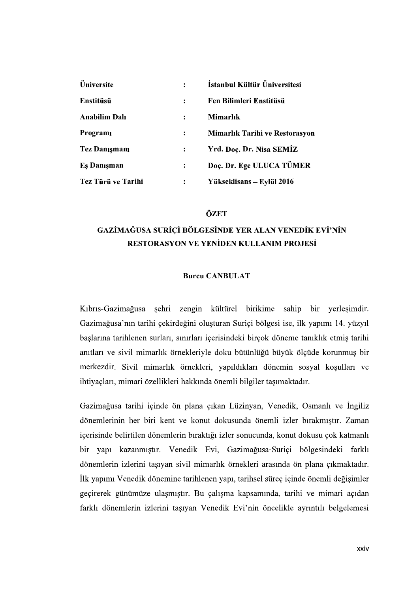| Üniversite                                                                             | $\ddot{\cdot}$       | İstanbul Kültür Üniversitesi   |
|----------------------------------------------------------------------------------------|----------------------|--------------------------------|
| Enstitüsü                                                                              | $\ddot{\cdot}$       | Fen Bilimleri Enstitüsü        |
|                                                                                        |                      |                                |
|                                                                                        | $\ddot{\cdot}$       | <b>Mimarlık</b>                |
|                                                                                        | $\ddot{\cdot}$       | Mimarlık Tarihi ve Restorasyon |
|                                                                                        | $\ddot{\cdot}$       | Yrd. Doç. Dr. Nisa SEMİZ       |
|                                                                                        | $\ddot{\phantom{a}}$ | Doç. Dr. Ege ULUCA TÜMER       |
| <b>Anabilim Dalı</b><br>Programı<br>Tez Danışmanı<br>Eş Danışman<br>Tez Türü ve Tarihi | $\ddot{\cdot}$       | Yükseklisans - Eylül 2016      |

# **RESTORASYON VE YENİDEN KULLANIM PROJESİ**

### Burcu CANBULAT

Kıbrıs-Gazimağusa şehri zengin kültürel birikime sahip bir yerleşimdir. Gazimağusa'nın tarihi çekirdeğini oluşturan Suriçi bölgesi ise, ilk yapımı 14. yüzyıl baslarına tarihlenen surları, sınırları içerisindeki birçok döneme tanıklık etmis tarihi anıtları ve sivil mimarlık örnekleriyle doku bütünlüğü büyük ölçüde korunmuş bir merkezdir. Sivil mimarlık örnekleri, yapıldıkları dönemin sosyal koşulları ve ihtiyaçları, mimari özellikleri hakkında önemli bilgiler taşımaktadır.

Gazimağusa tarihi içinde ön plana çıkan Lüzinyan, Venedik, Osmanlı ve İngiliz dönemlerinin her biri kent ve konut dokusunda önemli izler bırakmıştır. Zaman içerisinde belirtilen dönemlerin bıraktığı izler sonucunda, konut dokusu çok katmanlı bir yapı kazanmıştır. Venedik Evi, Gazimağusa-Suriçi bölgesindeki farklı dönemlerin izlerini taşıyan sivil mimarlık örnekleri arasında ön plana çıkmaktadır. İlk yapımı Venedik dönemine tarihlenen yapı, tarihsel süreç içinde önemli değişimler geçirerek günümüze ulaşmıştır. Bu çalışma kapsamında, tarihi ve mimari açıdan farklı dönemlerin izlerini taşıyan Venedik Evi'nin öncelikle ayrıntılı belgelemesi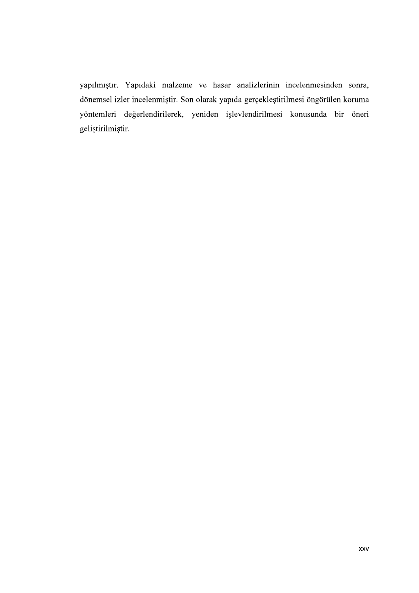yapılmıştır. Yapıdaki malzeme ve hasar analizlerinin incelenmesinden sonra, dönemsel izler incelenmiştir. Son olarak yapıda gerçekleştirilmesi öngörülen koruma yöntemleri değerlendirilerek, yeniden işlevlendirilmesi konusunda bir öneri geliştirilmiştir.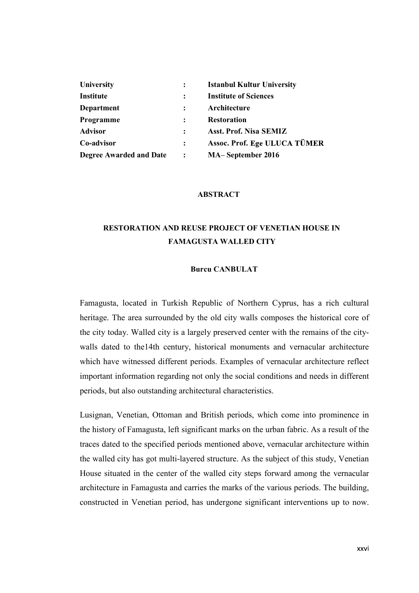| University                     | $\ddot{\cdot}$ | <b>Istanbul Kultur University</b> |  |
|--------------------------------|----------------|-----------------------------------|--|
| <b>Institute</b>               | $\ddot{\cdot}$ | <b>Institute of Sciences</b>      |  |
| Department                     | $\ddot{\cdot}$ | Architecture                      |  |
| Programme                      | $\ddot{\cdot}$ | <b>Restoration</b>                |  |
|                                | $\ddot{\cdot}$ | Asst. Prof. Nisa SEMIZ            |  |
| <b>Advisor</b>                 | $\ddot{\cdot}$ | Assoc. Prof. Ege ULUCA TÜMER      |  |
| Co-advisor                     |                |                                   |  |
| <b>Degree Awarded and Date</b> | $\ddot{\cdot}$ | MA-September 2016                 |  |
|                                |                |                                   |  |
|                                |                | <b>ABSTRACT</b>                   |  |

#### ABSTRACT

## RESTORATION AND REUSE PROJECT OF VENETIAN HOUSE IN FAMAGUSTA WALLED CITY

#### Burcu CANBULAT

Famagusta, located in Turkish Republic of Northern Cyprus, has a rich cultural heritage. The area surrounded by the old city walls composes the historical core of Degree Awarded and Date<br>
MA-September 2016<br>
ABSTRACT<br>
RESTORATION AND REUSE PROJECT OF VENETIAN HOUSE IN<br>
FAMAGUSTA WALLED CITY<br>
Bureu CANBULAT<br>
Famagusta, located in Turkish Republic of Northern Cyprus, has a rich cultura walls dated to the14th century, historical monuments and vernacular architecture which have witnessed different periods. Examples of vernacular architecture reflect important information regarding not only the social conditions and needs in different periods, but also outstanding architectural characteristics. **EXAMAGUSTA WALLED CITY**<br>**Bureu CANBULAT**<br>**Bureu CANBULAT**<br>**E** Emagusta, located in Turkish Republic of Northern Cyprus, has a rich cultural<br>heritage. The area surrounded by the old city walls composes the historical core

the history of Famagusta, left significant marks on the urban fabric. As a result of the traces dated to the specified periods mentioned above, vernacular architecture within the walled city has got multi-layered structure. As the subject of this study, Venetian House situated in the center of the walled city steps forward among the vernacular architecture in Famagusta and carries the marks of the various periods. The building, constructed in Venetian period, has undergone significant interventions up to now.